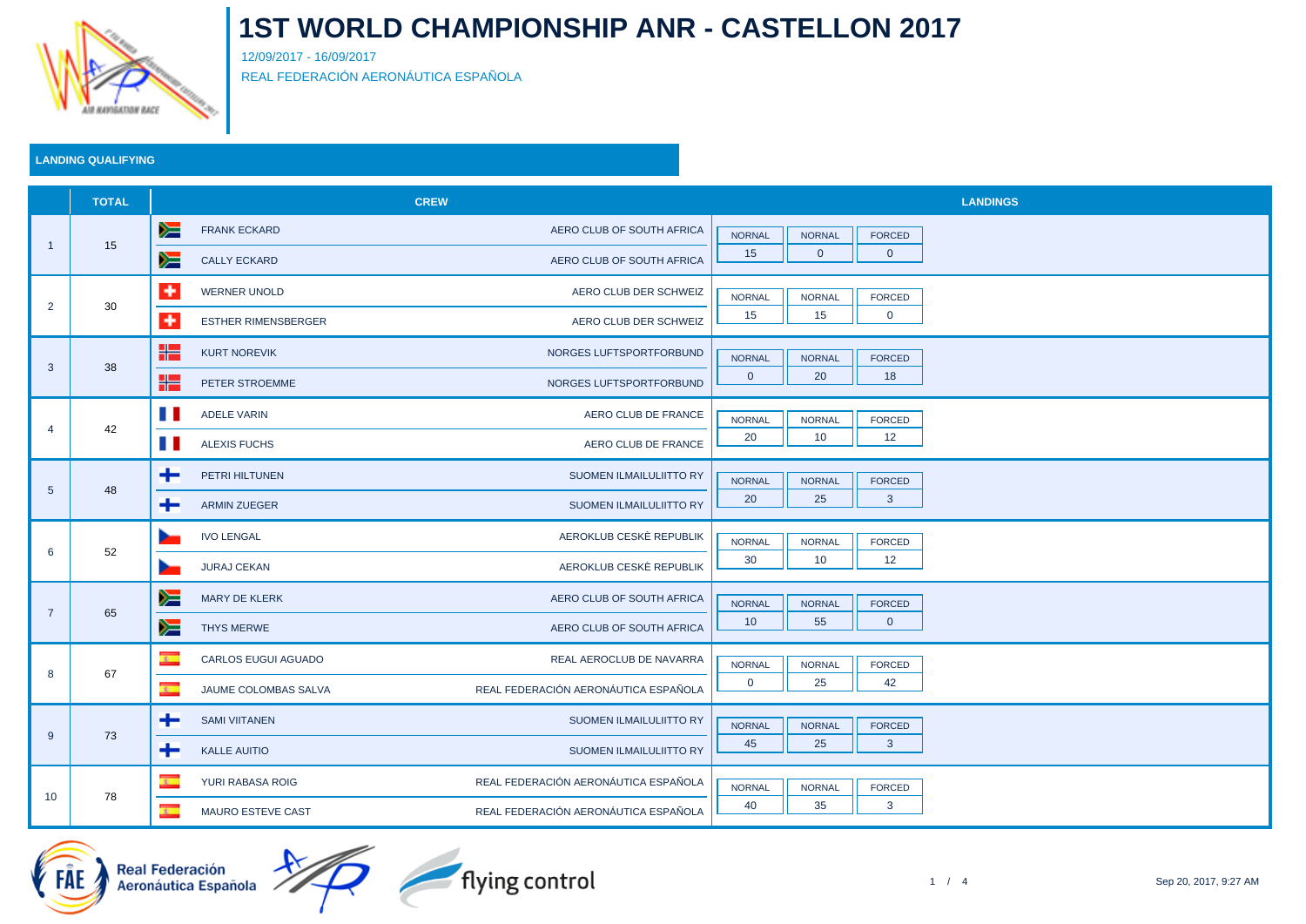

12/09/2017 - 16/09/2017 REAL FEDERACIÓN AERONÁUTICA ESPAÑOLA

### **LANDING QUALIFYING**

|                 | <b>TOTAL</b> |                                                   | <b>CREW</b>                          | <b>LANDINGS</b>                                 |
|-----------------|--------------|---------------------------------------------------|--------------------------------------|-------------------------------------------------|
| $\overline{1}$  | 15           | y≡<br><b>FRANK ECKARD</b>                         | AERO CLUB OF SOUTH AFRICA            | <b>NORNAL</b><br><b>NORNAL</b><br>FORCED        |
|                 |              | ▓<br><b>CALLY ECKARD</b>                          | AERO CLUB OF SOUTH AFRICA            | 15<br>$\mathbf 0$<br>$\overline{0}$             |
| $\overline{2}$  | 30           | $\ddot{}$<br><b>WERNER UNOLD</b>                  | AERO CLUB DER SCHWEIZ                | <b>NORNAL</b><br><b>NORNAL</b><br>FORCED        |
|                 |              | $\ddot{}$<br><b>ESTHER RIMENSBERGER</b>           | AERO CLUB DER SCHWEIZ                | 15<br>15<br>$\mathbf{0}$                        |
|                 | 38           | ╬<br><b>KURT NOREVIK</b>                          | NORGES LUFTSPORTFORBUND              | <b>NORNAL</b><br><b>NORNAL</b><br>FORCED        |
| $\mathbf{3}$    |              | ۲٢<br>PETER STROEMME                              | NORGES LUFTSPORTFORBUND              | 20<br>18<br>$\overline{0}$                      |
|                 |              | <b>The St</b><br><b>ADELE VARIN</b>               | AERO CLUB DE FRANCE                  | <b>NORNAL</b><br><b>NORNAL</b><br>FORCED        |
| $\overline{4}$  | 42           | a ka<br><b>ALEXIS FUCHS</b>                       | AERO CLUB DE FRANCE                  | 20<br>10 <sup>°</sup><br>12                     |
|                 |              | ÷<br>PETRI HILTUNEN                               | SUOMEN ILMAILULIITTO RY              | <b>NORNAL</b><br><b>NORNAL</b><br>FORCED        |
| $5\phantom{.0}$ | 48           | ÷<br><b>ARMIN ZUEGER</b>                          | SUOMEN ILMAILULIITTO RY              | 20<br>25<br>$\mathbf{3}$                        |
|                 | 52           | <b>IVO LENGAL</b>                                 | AEROKLUB CESKÉ REPUBLIK              | <b>NORNAL</b><br><b>NORNAL</b><br><b>FORCED</b> |
| 6               |              | <b>JURAJ CEKAN</b><br>÷                           | AEROKLUB CESKÈ REPUBLIK              | 30<br>10<br>12                                  |
|                 | 65           | y<br><b>MARY DE KLERK</b>                         | AERO CLUB OF SOUTH AFRICA            | <b>NORNAL</b><br><b>NORNAL</b><br>FORCED        |
| $\overline{7}$  |              | ▓<br>THYS MERWE                                   | AERO CLUB OF SOUTH AFRICA            | 10<br>55<br>$\overline{0}$                      |
| 8               | 67           | $\overline{\mathbf{r}}$<br>CARLOS EUGUI AGUADO    | REAL AEROCLUB DE NAVARRA             | <b>NORNAL</b><br><b>NORNAL</b><br><b>FORCED</b> |
|                 |              | $\overline{\mathbf{z}}$ .<br>JAUME COLOMBAS SALVA | REAL FEDERACIÓN AERONÁUTICA ESPAÑOLA | 25<br>42<br>$\mathbf 0$                         |
| 9               | 73           | ÷<br><b>SAMI VIITANEN</b>                         | SUOMEN ILMAILULIITTO RY              | <b>NORNAL</b><br><b>NORNAL</b><br>FORCED        |
|                 |              | ÷<br><b>KALLE AUITIO</b>                          | SUOMEN ILMAILULIITTO RY              | 45<br>25<br>$\mathbf{3}$                        |
| 10 <sup>°</sup> | 78           | $\overline{z}$<br>YURI RABASA ROIG                | REAL FEDERACIÓN AERONÁUTICA ESPAÑOLA | <b>NORNAL</b><br><b>NORNAL</b><br>FORCED        |
|                 |              | $\overline{\mathbf{c}}$<br>MAURO ESTEVE CAST      | REAL FEDERACIÓN AERONÁUTICA ESPAÑOLA | 40<br>35<br>3                                   |





flying control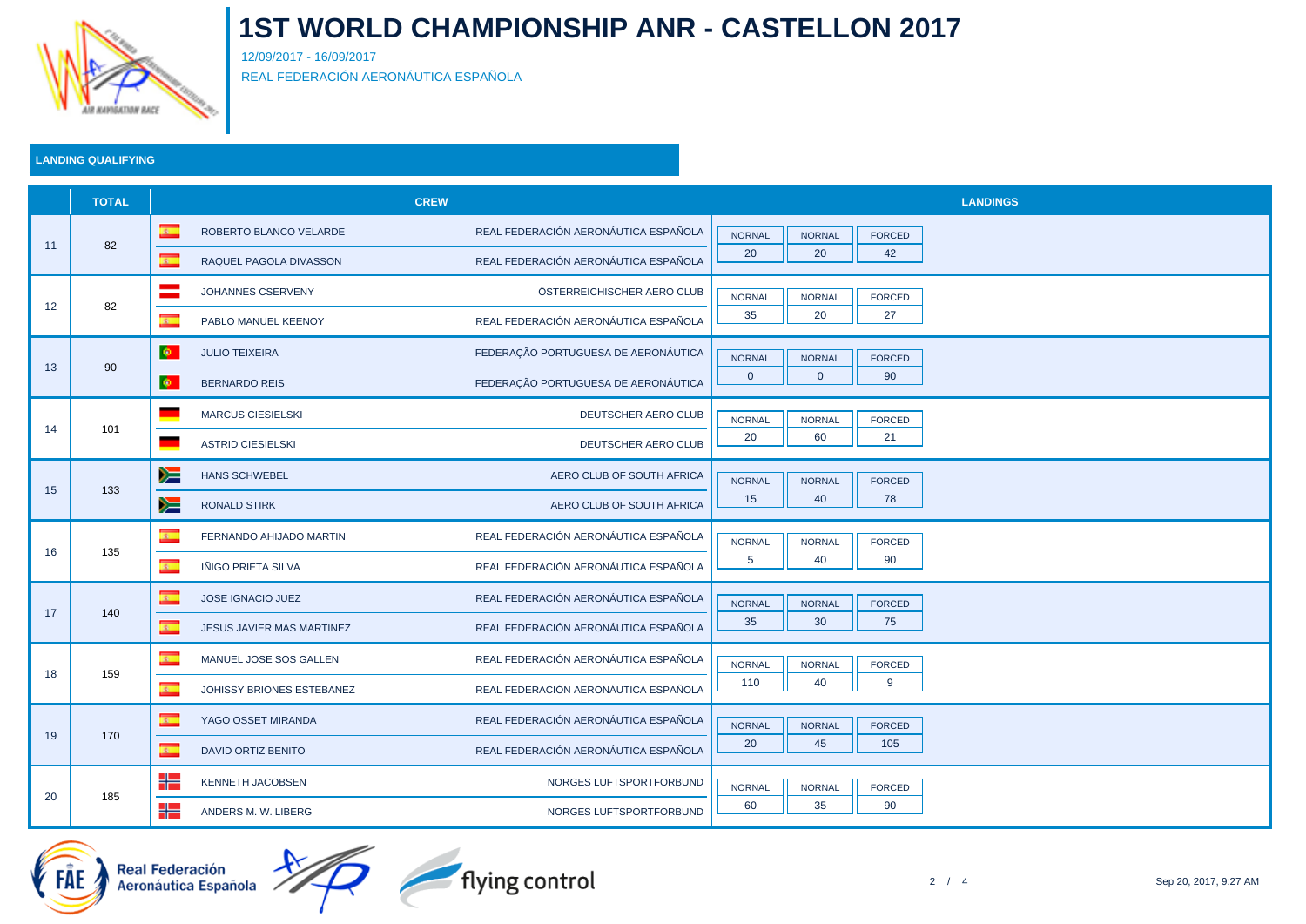

12/09/2017 - 16/09/2017 REAL FEDERACIÓN AERONÁUTICA ESPAÑOLA

### **LANDING QUALIFYING**

|    | <b>TOTAL</b> |                                                             | <b>CREW</b>                          | <b>LANDINGS</b>                                 |  |  |  |
|----|--------------|-------------------------------------------------------------|--------------------------------------|-------------------------------------------------|--|--|--|
| 11 | 82           | $\mathbf{r}$<br>ROBERTO BLANCO VELARDE                      | REAL FEDERACIÓN AERONÁUTICA ESPAÑOLA | <b>NORNAL</b><br><b>NORNAL</b><br><b>FORCED</b> |  |  |  |
|    |              | $\overline{\mathbb{C}}$<br>RAQUEL PAGOLA DIVASSON           | REAL FEDERACIÓN AERONÁUTICA ESPAÑOLA | 20<br>20<br>42                                  |  |  |  |
|    | 82           | $\equiv$<br>JOHANNES CSERVENY                               | ÖSTERREICHISCHER AERO CLUB           | <b>NORNAL</b><br><b>NORNAL</b><br>FORCED        |  |  |  |
| 12 |              | $\overline{\mathbf{r}}$<br>PABLO MANUEL KEENOY              | REAL FEDERACIÓN AERONÁUTICA ESPAÑOLA | 35<br>20<br>27                                  |  |  |  |
|    | 90           | Ф.<br><b>JULIO TEIXEIRA</b>                                 | FEDERAÇÃO PORTUGUESA DE AERONÁUTICA  | <b>NORNAL</b><br><b>NORNAL</b><br><b>FORCED</b> |  |  |  |
| 13 |              | $\bullet$<br><b>BERNARDO REIS</b>                           | FEDERAÇÃO PORTUGUESA DE AERONÁUTICA  | $\mathbf{0}$<br>$\overline{0}$<br>90            |  |  |  |
|    | 101          | <b>MARCUS CIESIELSKI</b><br>٠                               | DEUTSCHER AERO CLUB                  | <b>NORNAL</b><br><b>NORNAL</b><br><b>FORCED</b> |  |  |  |
| 14 |              | a.<br><b>ASTRID CIESIELSKI</b>                              | DEUTSCHER AERO CLUB                  | 20<br>60<br>21                                  |  |  |  |
|    |              | y<br><b>HANS SCHWEBEL</b>                                   | AERO CLUB OF SOUTH AFRICA            | <b>NORNAL</b><br><b>NORNAL</b><br>FORCED        |  |  |  |
| 15 | 133          | y≡<br>RONALD STIRK                                          | AERO CLUB OF SOUTH AFRICA            | 15<br>40<br>78                                  |  |  |  |
|    | 135          | $\overline{\mathbf{r}}$<br>FERNANDO AHIJADO MARTIN          | REAL FEDERACIÓN AERONÁUTICA ESPAÑOLA | <b>NORNAL</b><br><b>NORNAL</b><br>FORCED        |  |  |  |
| 16 |              | $\overline{\mathbf{r}}$<br>IÑIGO PRIETA SILVA               | REAL FEDERACIÓN AERONÁUTICA ESPAÑOLA | 5<br>40<br>90                                   |  |  |  |
|    | 140          | $\overline{\mathbf{z}}$<br>JOSE IGNACIO JUEZ                | REAL FEDERACIÓN AERONÁUTICA ESPAÑOLA | <b>NORNAL</b><br><b>NORNAL</b><br><b>FORCED</b> |  |  |  |
| 17 |              | $\overline{\mathbf{r}}$<br><b>JESUS JAVIER MAS MARTINEZ</b> | REAL FEDERACIÓN AERONÁUTICA ESPAÑOLA | 35<br>30<br>75                                  |  |  |  |
|    | 159          | $\overline{\mathbf{x}}$<br>MANUEL JOSE SOS GALLEN           | REAL FEDERACIÓN AERONÁUTICA ESPAÑOLA | <b>NORNAL</b><br><b>NORNAL</b><br><b>FORCED</b> |  |  |  |
| 18 |              | $\overline{\mathbf{r}}$<br>JOHISSY BRIONES ESTEBANEZ        | REAL FEDERACIÓN AERONÁUTICA ESPAÑOLA | 110<br>40<br>9                                  |  |  |  |
| 19 | 170          | $\overline{\mathbf{r}}$<br>YAGO OSSET MIRANDA               | REAL FEDERACIÓN AERONÁUTICA ESPAÑOLA | <b>NORNAL</b><br><b>NORNAL</b><br><b>FORCED</b> |  |  |  |
|    |              | $\overline{\mathbf{r}}$<br>DAVID ORTIZ BENITO               | REAL FEDERACIÓN AERONÁUTICA ESPAÑOLA | 20<br>45<br>105                                 |  |  |  |
|    |              | ╬<br>KENNETH JACOBSEN                                       | NORGES LUFTSPORTFORBUND              | <b>NORNAL</b><br><b>NORNAL</b><br>FORCED        |  |  |  |
| 20 | 185          | ╬<br>ANDERS M. W. LIBERG                                    | NORGES LUFTSPORTFORBUND              | 60<br>35<br>90                                  |  |  |  |

Real Federación<br>Aeronáutica Española



flying control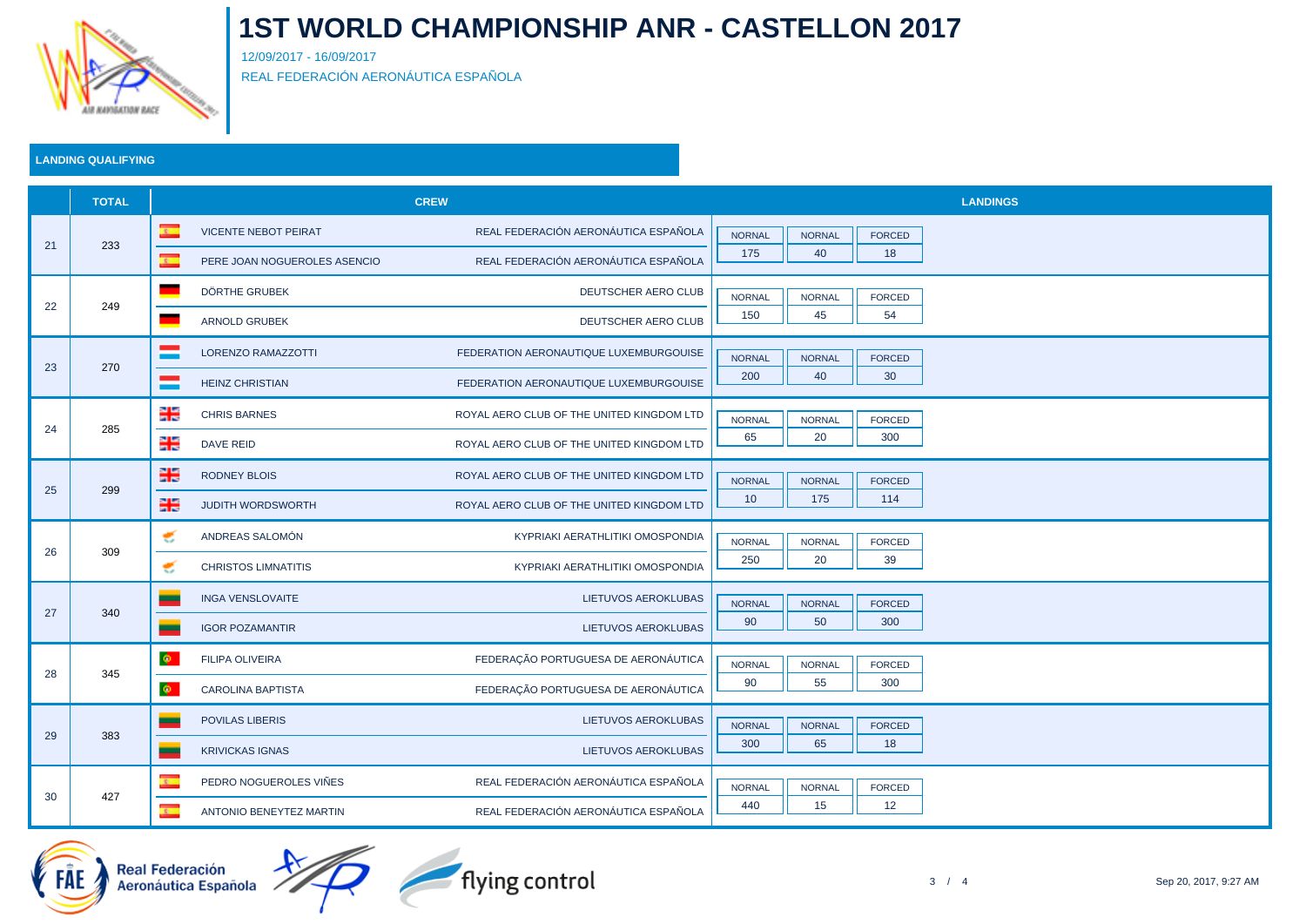

12/09/2017 - 16/09/2017 REAL FEDERACIÓN AERONÁUTICA ESPAÑOLA

### **LANDING QUALIFYING**

|    | <b>TOTAL</b> | <b>CREW</b>                |                              |                                           | <b>LANDINGS</b>      |                     |                      |  |
|----|--------------|----------------------------|------------------------------|-------------------------------------------|----------------------|---------------------|----------------------|--|
| 21 | 233          | $\overline{\mathbf{r}}$    | <b>VICENTE NEBOT PEIRAT</b>  | REAL FEDERACIÓN AERONÁUTICA ESPAÑOLA      | <b>NORNAL</b>        | <b>NORNAL</b>       | <b>FORCED</b>        |  |
|    |              | $\mathcal{R}_{\mathbb{Z}}$ | PERE JOAN NOGUEROLES ASENCIO | REAL FEDERACIÓN AERONÁUTICA ESPAÑOLA      | 175                  | 40                  | 18                   |  |
|    | 249          | a a                        | DÖRTHE GRUBEK                | DEUTSCHER AERO CLUB                       | <b>NORNAL</b>        | <b>NORNAL</b>       | <b>FORCED</b>        |  |
| 22 |              | ×,                         | <b>ARNOLD GRUBEK</b>         | <b>DEUTSCHER AERO CLUB</b>                | 150                  | 45                  | 54                   |  |
|    | 270          |                            | <b>LORENZO RAMAZZOTTI</b>    | FEDERATION AERONAUTIQUE LUXEMBURGOUISE    | <b>NORNAL</b>        | <b>NORNAL</b>       | <b>FORCED</b>        |  |
| 23 |              | =                          | <b>HEINZ CHRISTIAN</b>       | FEDERATION AERONAUTIQUE LUXEMBURGOUISE    | 200                  | 40                  | 30                   |  |
|    |              | 을                          | <b>CHRIS BARNES</b>          | ROYAL AERO CLUB OF THE UNITED KINGDOM LTD | <b>NORNAL</b>        | <b>NORNAL</b>       | FORCED               |  |
| 24 | 285          | ∺                          | <b>DAVE REID</b>             | ROYAL AERO CLUB OF THE UNITED KINGDOM LTD | 65                   | 20                  | 300                  |  |
|    |              | 半                          | <b>RODNEY BLOIS</b>          | ROYAL AERO CLUB OF THE UNITED KINGDOM LTD | <b>NORNAL</b>        | <b>NORNAL</b>       | FORCED               |  |
| 25 | 299          | 噐                          | <b>JUDITH WORDSWORTH</b>     | ROYAL AERO CLUB OF THE UNITED KINGDOM LTD | 10                   | 175                 | 114                  |  |
|    |              | €                          | ANDREAS SALOMÓN              | KYPRIAKI AERATHLITIKI OMOSPONDIA          | <b>NORNAL</b>        | <b>NORNAL</b>       | <b>FORCED</b>        |  |
| 26 | 309          | €                          | <b>CHRISTOS LIMNATITIS</b>   | KYPRIAKI AERATHLITIKI OMOSPONDIA          | 250                  | 20                  | 39                   |  |
|    | 340          | $\overline{\phantom{a}}$   | <b>INGA VENSLOVAITE</b>      | <b>LIETUVOS AEROKLUBAS</b>                | <b>NORNAL</b>        | <b>NORNAL</b>       | <b>FORCED</b>        |  |
| 27 |              | $\mathcal{L}$              | <b>IGOR POZAMANTIR</b>       | LIETUVOS AEROKLUBAS                       | 90                   | 50                  | 300                  |  |
|    | 345          | $\Phi$ .                   | <b>FILIPA OLIVEIRA</b>       | FEDERAÇÃO PORTUGUESA DE AERONÁUTICA       |                      |                     |                      |  |
| 28 |              | $\Phi$ .                   | <b>CAROLINA BAPTISTA</b>     | FEDERAÇÃO PORTUGUESA DE AERONÁUTICA       | <b>NORNAL</b><br>90  | <b>NORNAL</b><br>55 | <b>FORCED</b><br>300 |  |
| 29 |              |                            |                              |                                           |                      |                     |                      |  |
|    | 383          | $\mathcal{L}$              | <b>POVILAS LIBERIS</b>       | <b>LIETUVOS AEROKLUBAS</b>                | <b>NORNAL</b><br>300 | <b>NORNAL</b><br>65 | <b>FORCED</b><br>18  |  |
|    |              | $\mathcal{L}$              | <b>KRIVICKAS IGNAS</b>       | LIETUVOS AEROKLUBAS                       |                      |                     |                      |  |
| 30 | 427          | $\overline{\mathbf{x}}$    | PEDRO NOGUEROLES VIÑES       | REAL FEDERACIÓN AERONÁUTICA ESPAÑOLA      | <b>NORNAL</b>        | <b>NORNAL</b>       | FORCED               |  |
|    |              | $\overline{\mathbf{c}}$    | ANTONIO BENEYTEZ MARTIN      | REAL FEDERACIÓN AERONÁUTICA ESPAÑOLA      | 440                  | 15                  | 12                   |  |





flying control